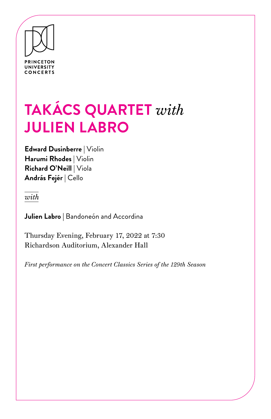

# **TAKÁCS QUARTET** *with* **JULIEN LABRO**

**Edward Dusinberre** | Violin **Harumi Rhodes** | Violin **Richard O'Neill** | Viola **András Fejér** | Cello

*with* 

**Julien Labro |** Bandoneón and Accordina

Thursday Evening, February 17, 2022 at 7:30 Richardson Auditorium, Alexander Hall

*First performance on the Concert Classics Series of the 129th Season*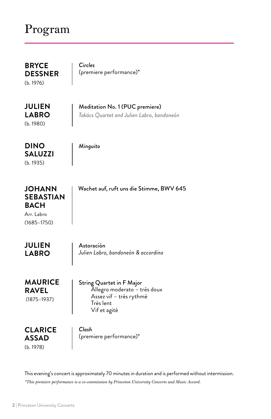# Program

**BRYCE DESSNER**  (b. 1976)

*Circles* (premiere performance)\*

**JULIEN LABRO**  (b. 1980)

Meditation No. 1 (PUC premiere) *Takács Quartet and Julien Labro, bandoneón* 

*Minguito* 

**SALUZZI**  (b. 1935)

**DINO** 

| JOHANN<br>SEBASTIAN<br><b>BACH</b> | Wachet auf, ruft uns die Stimme, BWV 645 |
|------------------------------------|------------------------------------------|
| Arr. Labro                         |                                          |
| (1685–1750)                        |                                          |
|                                    |                                          |

| <b>JULIEN</b> | Astoración                          |
|---------------|-------------------------------------|
| <b>LABRO</b>  | Julien Labro, bandoneón & accordina |
|               |                                     |

String Quartet in F Major Allegro moderato – très doux Assez vif – très rythmé Très lent Vif et agité **MAURICE RAVEL** (1875–1937)

**CLARICE ASSAD**  (b. 1978)

*Clash* (premiere performance)\*

This evening's concert is approximately 70 minutes in duration and is performed without intermission. *\*This premiere performance is a co-commission by Princeton University Concerts and Music Accord.*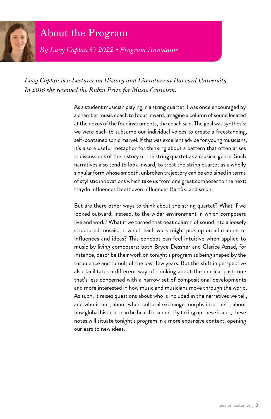

# About the Program

*By Lucy Caplan © 2022 • Program Annotator*

*Lucy Caplan is a Lecturer on History and Literature at Harvard University. In 2016 she received the Rubin Prize for Music Criticism.*

> As a student musician playing in a string quartet, I was once encouraged by a chamber music coach to focus inward. Imagine a column of sound located at the nexus of the four instruments, the coach said. The goal was synthesis: we were each to subsume our individual voices to create a freestanding, self-contained sonic marvel. If this was excellent advice for young musicians, it's also a useful metaphor for thinking about a pattern that often arises in discussions of the history of the string quartet as a musical genre. Such narratives also tend to look inward, to treat the string quartet as a wholly singular form whose smooth, unbroken trajectory can be explained in terms of stylistic innovations which take us from one great composer to the next: Haydn influences Beethoven influences Bartók, and so on.

> But are there other ways to think about the string quartet? What if we looked outward, instead, to the wider environment in which composers live and work? What if we turned that neat column of sound into a loosely structured mosaic, in which each work might pick up on all manner of influences and ideas? This concept can feel intuitive when applied to music by living composers: both Bryce Dessner and Clarice Assad, for instance, describe their work on tonight's program as being shaped by the turbulence and tumult of the past few years. But this shift in perspective also facilitates a different way of thinking about the musical past: one that's less concerned with a narrow set of compositional developments and more interested in how music and musicians move through the world. As such, it raises questions about who is included in the narratives we tell, and who is not; about when cultural exchange morphs into theft; about how global histories can be heard in sound. By taking up these issues, these notes will situate tonight's program in a more expansive context, opening our ears to new ideas.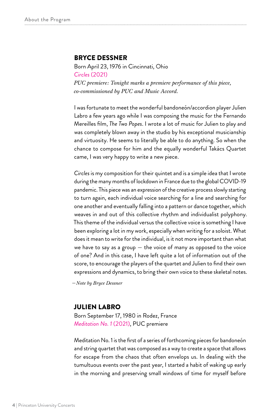#### BRYCE DESSNER

Born April 23, 1976 in Cincinnati, Ohio *Circles* (2021) *PUC premiere: Tonight marks a premiere performance of this piece, co-commissioned by PUC and Music Accord.*

I was fortunate to meet the wonderful bandoneón/accordion player Julien Labro a few years ago while I was composing the music for the Fernando Mereilles film, *The Two Popes*. I wrote a lot of music for Julien to play and was completely blown away in the studio by his exceptional musicianship and virtuosity. He seems to literally be able to do anything. So when the chance to compose for him and the equally wonderful Takács Quartet came, I was very happy to write a new piece.

*Circles* is my composition for their quintet and is a simple idea that I wrote during the many months of lockdown in France due to the global COVID-19 pandemic. This piece was an expression of the creative process slowly starting to turn again, each individual voice searching for a line and searching for one another and eventually falling into a pattern or dance together, which weaves in and out of this collective rhythm and individualist polyphony. This theme of the individual versus the collective voice is something I have been exploring a lot in my work, especially when writing for a soloist. What does it mean to write for the individual, is it not more important than what we have to say as a group  $-$  the voice of many as opposed to the voice of one? And in this case, I have left quite a lot of information out of the score, to encourage the players of the quartet and Julien to find their own expressions and dynamics, to bring their own voice to these skeletal notes.

*—Note by Bryce Dessner*

#### JULIEN LABRO

Born September 17, 1980 in Rodez, France *Meditation No. 1* (2021), PUC premiere

Meditation No. 1 is the first of a series of forthcoming pieces for bandoneón and string quartet that was composed as a way to create a space that allows for escape from the chaos that often envelops us. In dealing with the tumultuous events over the past year, I started a habit of waking up early in the morning and preserving small windows of time for myself before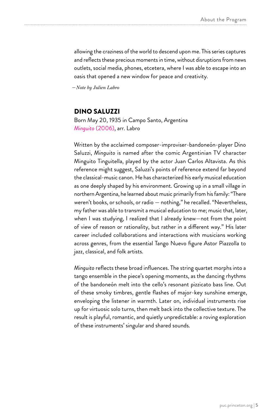allowing the craziness of the world to descend upon me. This series captures and reflects these precious moments in time, without disruptions from news outlets, social media, phones, etcetera, where I was able to escape into an oasis that opened a new window for peace and creativity.

*—Note by Julien Labro*

#### DINO SALUZZI

Born May 20, 1935 in Campo Santo, Argentina *Minguito* (2006), arr. Labro

Written by the acclaimed composer-improviser-bandoneón-player Dino Saluzzi, *Minguito* is named after the comic Argentinian TV character Minguito Tinguitella, played by the actor Juan Carlos Altavista. As this reference might suggest, Saluzzi's points of reference extend far beyond the classical-music canon. He has characterized his early musical education as one deeply shaped by his environment. Growing up in a small village in northern Argentina, he learned about music primarily from his family: "There weren't books, or schools, or radio — nothing," he recalled. "Nevertheless, my father was able to transmit a musical education to me; music that, later, when I was studying, I realized that I already knew—not from the point of view of reason or rationality, but rather in a different way." His later career included collaborations and interactions with musicians working across genres, from the essential Tango Nuevo figure Astor Piazzolla to jazz, classical, and folk artists.

*Minguito* reflects these broad influences. The string quartet morphs into a tango ensemble in the piece's opening moments, as the dancing rhythms of the bandoneón melt into the cello's resonant pizzicato bass line. Out of these smoky timbres, gentle flashes of major-key sunshine emerge, enveloping the listener in warmth. Later on, individual instruments rise up for virtuosic solo turns, then melt back into the collective texture. The result is playful, romantic, and quietly unpredictable: a roving exploration of these instruments' singular and shared sounds.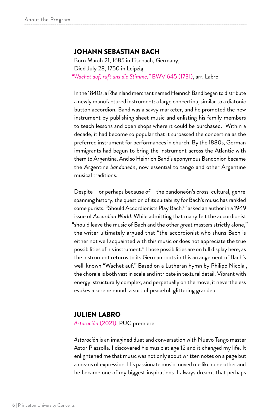#### JOHANN SEBASTIAN BACH

Born March 21, 1685 in Eisenach, Germany, Died July 28, 1750 in Leipzig *"Wachet auf, ruft uns die Stimme,"* BWV 645 (1731), arr. Labro

In the 1840s, a Rheinland merchant named Heinrich Band began to distribute a newly manufactured instrument: a large concertina, similar to a diatonic button accordion. Band was a savvy marketer, and he promoted the new instrument by publishing sheet music and enlisting his family members to teach lessons and open shops where it could be purchased. Within a decade, it had become so popular that it surpassed the concertina as the preferred instrument for performances in church. By the 1880s, German immigrants had begun to bring the instrument across the Atlantic with them to Argentina. And so Heinrich Band's eponymous Bandonion became the Argentine *bandoneón*, now essential to tango and other Argentine musical traditions.

Despite – or perhaps because of – the bandoneón's cross-cultural, genrespanning history, the question of its suitability for Bach's music has rankled some purists. "Should Accordionists Play Bach?" asked an author in a 1949 issue of *Accordion World*. While admitting that many felt the accordionist "should leave the music of Bach and the other great masters strictly alone," the writer ultimately argued that "the accordionist who shuns Bach is either not well acquainted with this music or does not appreciate the true possibilities of his instrument." Those possibilities are on full display here, as the instrument returns to its German roots in this arrangement of Bach's well-known "Wachet auf." Based on a Lutheran hymn by Philipp Nicolai, the chorale is both vast in scale and intricate in textural detail. Vibrant with energy, structurally complex, and perpetually on the move, it nevertheless evokes a serene mood: a sort of peaceful, glittering grandeur.

#### JULIEN LABRO

*Astoración* (2021), PUC premiere

*Astoración* is an imagined duet and conversation with Nuevo Tango master Astor Piazzolla. I discovered his music at age 12 and it changed my life. It enlightened me that music was not only about written notes on a page but a means of expression. His passionate music moved me like none other and he became one of my biggest inspirations. I always dreamt that perhaps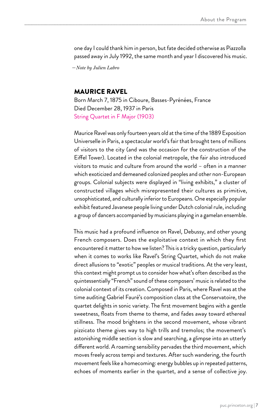one day I could thank him in person, but fate decided otherwise as Piazzolla passed away in July 1992, the same month and year I discovered his music.

*—Note by Julien Labro*

### MAURICE RAVEL

Born March 7, 1875 in Ciboure, Basses-Pyrénées, France Died December 28, 1937 in Paris String Quartet in F Major (1903)

Maurice Ravel was only fourteen years old at the time of the 1889 Exposition Universelle in Paris, a spectacular world's fair that brought tens of millions of visitors to the city (and was the occasion for the construction of the Eiffel Tower). Located in the colonial metropole, the fair also introduced visitors to music and culture from around the world – often in a manner which exoticized and demeaned colonized peoples and other non-European groups. Colonial subjects were displayed in "living exhibits," a cluster of constructed villages which misrepresented their cultures as primitive, unsophisticated, and culturally inferior to Europeans. One especially popular exhibit featured Javanese people living under Dutch colonial rule, including a group of dancers accompanied by musicians playing in a gamelan ensemble.

This music had a profound influence on Ravel, Debussy, and other young French composers. Does the exploitative context in which they first encountered it matter to how we listen? This is a tricky question, particularly when it comes to works like Ravel's String Quartet, which do not make direct allusions to "exotic" peoples or musical traditions. At the very least, this context might prompt us to consider how what's often described as the quintessentially "French" sound of these composers' music is related to the colonial context of its creation. Composed in Paris, where Ravel was at the time auditing Gabriel Fauré's composition class at the Conservatoire, the quartet delights in sonic variety. The first movement begins with a gentle sweetness, floats from theme to theme, and fades away toward ethereal stillness. The mood brightens in the second movement, whose vibrant pizzicato theme gives way to high trills and tremolos; the movement's astonishing middle section is slow and searching, a glimpse into an utterly different world. A roaming sensibility pervades the third movement, which moves freely across tempi and textures. After such wandering, the fourth movement feels like a homecoming: energy bubbles up in repeated patterns, echoes of moments earlier in the quartet, and a sense of collective joy.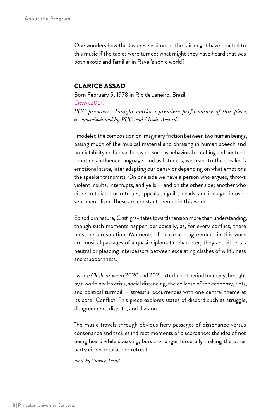One wonders how the Javanese visitors at the fair might have reacted to this music if the tables were turned; what might they have heard that was both exotic and familiar in Ravel's sonic world?

#### CLARICE ASSAD

Born February 9, 1978 in Rio de Janeiro, Brazil *Clash* (2021) *PUC premiere: Tonight marks a premiere performance of this piece, co-commissioned by PUC and Music Accord.* 

I modeled the composition on imaginary friction between two human beings, basing much of the musical material and phrasing in human speech and predictability on human behavior, such as behavioral matching and contrast. Emotions influence language, and as listeners, we react to the speaker's emotional state, later adapting our behavior depending on what emotions the speaker transmits. On one side we have a person who argues, throws violent insults, interrupts, and yells — and on the other side; another who either retaliates or retreats, appeals to guilt, pleads, and indulges in oversentimentalism. These are constant themes in this work.

Episodic in nature, *Clash* gravitates towards tension more than understanding, though such moments happen periodically, as, for every conflict, there must be a resolution. Moments of peace and agreement in this work are musical passages of a quasi-diplomatic character; they act either as neutral or pleading intercessors between escalating clashes of willfulness and stubbornness.

I wrote *Clash* between 2020 and 2021, a turbulent period for many, brought by a world health crisis, social distancing, the collapse of the economy, riots, and political turmoil — stressful occurrences with one central theme at its core: Conflict. This piece explores states of discord such as struggle, disagreement, dispute, and division.

The music travels through obvious fiery passages of dissonance versus consonance and tackles indirect moments of discordance: the idea of not being heard while speaking; bursts of anger forcefully making the other party either retaliate or retreat.

*–Note by Clarice Assad*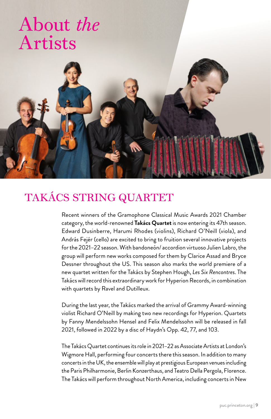# About *the* Artists



# TAKÁCS STRING QUARTET

Recent winners of the Gramophone Classical Music Awards 2021 Chamber category, the world-renowned **Takács Quartet** is now entering its 47th season. Edward Dusinberre, Harumi Rhodes (violins), Richard O'Neill (viola), and András Fejér (cello) are excited to bring to fruition several innovative projects for the 2021–22 season. With bandoneón/ accordion virtuoso Julien Labro, the group will perform new works composed for them by Clarice Assad and Bryce Dessner throughout the US. This season also marks the world premiere of a new quartet written for the Takács by Stephen Hough, *Les Six Rencontres*. The Takács will record this extraordinary work for Hyperion Records, in combination with quartets by Ravel and Dutilleux.

During the last year, the Takács marked the arrival of Grammy Award-winning violist Richard O'Neill by making two new recordings for Hyperion. Quartets by Fanny Mendelssohn Hensel and Felix Mendelssohn will be released in fall 2021, followed in 2022 by a disc of Haydn's Opp. 42, 77, and 103.

The Takács Quartet continues its role in 2021–22 as Associate Artists at London's Wigmore Hall, performing four concerts there this season. In addition to many concerts in the UK, the ensemble will play at prestigious European venues including the Paris Philharmonie, Berlin Konzerthaus, and Teatro Della Pergola, Florence. The Takács will perform throughout North America, including concerts in New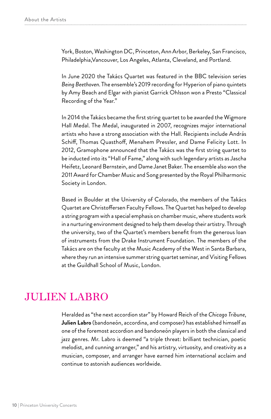York, Boston, Washington DC, Princeton, Ann Arbor, Berkeley, San Francisco, Philadelphia,Vancouver, Los Angeles, Atlanta, Cleveland, and Portland.

In June 2020 the Takács Quartet was featured in the BBC television series *Being Beethoven*. The ensemble's 2019 recording for Hyperion of piano quintets by Amy Beach and Elgar with pianist Garrick Ohlsson won a Presto "Classical Recording of the Year."

In 2014 the Takács became the first string quartet to be awarded the Wigmore Hall Medal. The Medal, inaugurated in 2007, recognizes major international artists who have a strong association with the Hall. Recipients include András Schiff, Thomas Quasthoff, Menahem Pressler, and Dame Felicity Lott. In 2012, Gramophone announced that the Takács was the first string quartet to be inducted into its "Hall of Fame," along with such legendary artists as Jascha Heifetz, Leonard Bernstein, and Dame Janet Baker. The ensemble also won the 2011 Award for Chamber Music and Song presented by the Royal Philharmonic Society in London.

Based in Boulder at the University of Colorado, the members of the Takács Quartet are Christoffersen Faculty Fellows. The Quartet has helped to develop a string program with a special emphasis on chamber music, where students work in a nurturing environment designed to help them develop their artistry. Through the university, two of the Quartet's members benefit from the generous loan of instruments from the Drake Instrument Foundation. The members of the Takács are on the faculty at the Music Academy of the West in Santa Barbara, where they run an intensive summer string quartet seminar, and Visiting Fellows at the Guildhall School of Music, London.

### JULIEN LABRO

Heralded as "the next accordion star" by Howard Reich of the *Chicago Tribune*, **Julien Labro** (bandoneón, accordina, and composer) has established himself as one of the foremost accordion and bandoneón players in both the classical and jazz genres. Mr. Labro is deemed "a triple threat: brilliant technician, poetic melodist, and cunning arranger," and his artistry, virtuosity, and creativity as a musician, composer, and arranger have earned him international acclaim and continue to astonish audiences worldwide.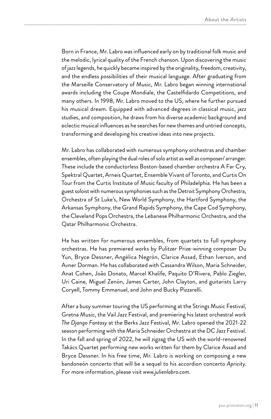Born in France, Mr. Labro was influenced early on by traditional folk music and the melodic, lyrical quality of the French chanson. Upon discovering the music of jazz legends, he quickly became inspired by the originality, freedom, creativity, and the endless possibilities of their musical language. After graduating from the Marseille Conservatory of Music, Mr. Labro began winning international awards including the Coupe Mondiale, the Castelfidardo Competitions, and many others. In 1998, Mr. Labro moved to the US, where he further pursued his musical dream. Equipped with advanced degrees in classical music, jazz studies, and composition, he draws from his diverse academic background and eclectic musical influences as he searches for new themes and untried concepts, transforming and developing his creative ideas into new projects.

Mr. Labro has collaborated with numerous symphony orchestras and chamber ensembles, often playing the dual roles of solo artist as well as composer/ arranger. These include the conductorless Boston-based chamber orchestra A Far Cry, Spektral Quartet, Arneis Quartet, Ensemble Vivant of Toronto, and Curtis On Tour from the Curtis Institute of Music faculty of Philadelphia. He has been a guest soloist with numerous symphonies such as the Detroit Symphony Orchestra, Orchestra of St Luke's, New World Symphony, the Hartford Symphony, the Arkansas Symphony, the Grand Rapids Symphony, the Cape Cod Symphony, the Cleveland Pops Orchestra, the Lebanese Philharmonic Orchestra, and the Qatar Philharmonic Orchestra.

He has written for numerous ensembles, from quartets to full symphony orchestras. He has premiered works by Pulitzer Prize-winning composer Du Yun, Bryce Dessner, Angélica Negrón, Clarice Assad, Ethan Iverson, and Avner Dorman. He has collaborated with Cassandra Wilson, Maria Schneider, Anat Cohen, João Donato, Marcel Khalife, Paquito D'Rivera, Pablo Ziegler, Uri Caine, Miguel Zenón, James Carter, John Clayton, and guitarists Larry Coryell, Tommy Emmanuel, and John and Bucky Pizzarelli.

After a busy summer touring the US performing at the Strings Music Festival, Gretna Music, the Vail Jazz Festival, and premiering his latest orchestral work *The Django Fantasy* at the Berks Jazz Festival, Mr. Labro opened the 2021-22 season performing with the Maria Schneider Orchestra at the DC Jazz Festival. In the fall and spring of 2022, he will zigzag the US with the world-renowned Takács Quartet performing new works written for them by Clarice Assad and Bryce Dessner. In his free time, Mr. Labro is working on composing a new bandoneón concerto that will be a sequel to his accordion concerto *Apricity*. For more information, please visit *www.julienlabro.com*.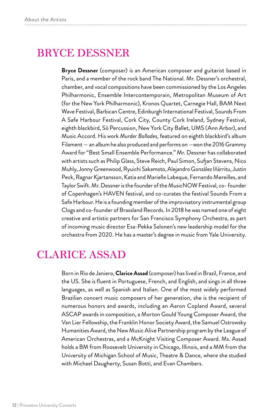## BRYCE DESSNER

**Bryce Dessner** (composer) is an American composer and guitarist based in Paris, and a member of the rock band The National. Mr. Dessner's orchestral, chamber, and vocal compositions have been commissioned by the Los Angeles Philharmonic, Ensemble Intercontemporain, Metropolitan Museum of Art (for the New York Philharmonic), Kronos Quartet, Carnegie Hall, BAM Next Wave Festival, Barbican Centre, Edinburgh International Festival, Sounds From A Safe Harbour Festival, Cork City, County Cork Ireland, Sydney Festival, eighth blackbird, Sō Percussion, New York City Ballet, UMS (Ann Arbor), and Music Accord. His work *Murder Ballades*, featured on eighth blackbird's album Filament — an album he also produced and performs on —won the 2016 Grammy Award for "Best Small Ensemble Performance." Mr. Dessner has collaborated with artists such as Philip Glass, Steve Reich, Paul Simon, Sufjan Stevens, Nico Muhly, Jonny Greenwood, Ryuichi Sakamoto, Alejandro González Iñárritu, Justin Peck, Ragnar Kjartansson, Katia and Marielle Labeque, Fernando Mereilles, and Taylor Swift. Mr. Dessner is the founder of the MusicNOW Festival, co- founder of Copenhagen's HAVEN festival, and co-curates the festival Sounds From a Safe Harbour. He is a founding member of the improvisatory instrumental group Clogs and co-founder of Brassland Records. In 2018 he was named one of eight creative and artistic partners for San Francisco Symphony Orchestra, as part of incoming music director Esa-Pekka Salonen's new leadership model for the orchestra from 2020. He has a master's degree in music from Yale University.

## CLARICE ASSAD

Born in Rio de Janiero, **Clarice Assad** (composer) has lived in Brazil, France, and the US. She is fluent in Portuguese, French, and English, and sings in all three languages, as well as Spanish and Italian. One of the most widely performed Brazilian concert music composers of her generation, she is the recipient of numerous honors and awards, including an Aaron Copland Award, several ASCAP awards in composition, a Morton Gould Young Composer Award, the Van Lier Fellowship, the Franklin Honor Society Award, the Samuel Ostrowsky Humanities Award, the New Music Alive Partnership program by the League of American Orchestras, and a McKnight Visiting Composer Award. Ms. Assad holds a BM from Roosevelt University in Chicago, Illinois, and a MM from the University of Michigan School of Music, Theatre & Dance, where she studied with Michael Daugherty, Susan Botti, and Evan Chambers.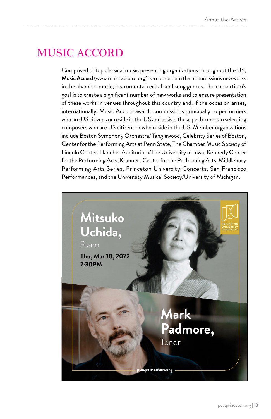### MUSIC ACCORD

Comprised of top classical music presenting organizations throughout the US, **Music Accord** (www.musicaccord.org) is a consortium that commissions new works in the chamber music, instrumental recital, and song genres. The consortium's goal is to create a significant number of new works and to ensure presentation of these works in venues throughout this country and, if the occasion arises, internationally. Music Accord awards commissions principally to performers who are US citizens or reside in the US and assists these performers in selecting composers who are US citizens or who reside in the US. Member organizations include Boston Symphony Orchestra/ Tanglewood, Celebrity Series of Boston, Center for the Performing Arts at Penn State, The Chamber Music Society of Lincoln Center, Hancher Auditorium/The University of Iowa, Kennedy Center for the Performing Arts, Krannert Center for the Performing Arts, Middlebury Performing Arts Series, Princeton University Concerts, San Francisco Performances, and the University Musical Society/University of Michigan.

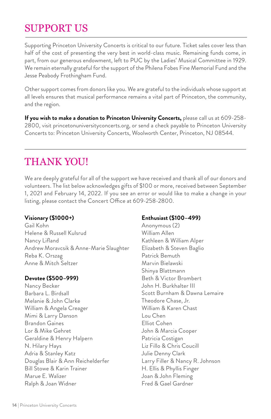# SUPPORT US

Supporting Princeton University Concerts is critical to our future. Ticket sales cover less than half of the cost of presenting the very best in world-class music. Remaining funds come, in part, from our generous endowment, left to PUC by the Ladies' Musical Committee in 1929. We remain eternally grateful for the support of the Philena Fobes Fine Memorial Fund and the Jesse Peabody Frothingham Fund.

Other support comes from donors like you. We are grateful to the individuals whose support at all levels ensures that musical performance remains a vital part of Princeton, the community, and the region.

**If you wish to make a donation to Princeton University Concerts,** please call us at 609-258- 2800, visit princetonuniversityconcerts.org, or send a check payable to Princeton University Concerts to: Princeton University Concerts, Woolworth Center, Princeton, NJ 08544.

## THANK YOU!

We are deeply grateful for all of the support we have received and thank all of our donors and volunteers. The list below acknowledges gifts of \$100 or more, received between September 1, 2021 and February 14, 2022. If you see an error or would like to make a change in your listing, please contact the Concert Office at 609-258-2800.

### **Visionary (\$1000+)**

Gail Kohn Helene & Russell Kulsrud Nancy Lifland Andrew Moravcsik & Anne-Marie Slaughter Reba K. Orszag Anne & Mitch Seltzer

### **Devotee (\$500–999)**

Nancy Becker Barbara L. Birdsall Melanie & John Clarke William & Angela Creager Mimi & Larry Danson Brandon Gaines Lor & Mike Gehret Geraldine & Henry Halpern N. Hilary Hays Adria & Stanley Katz Douglas Blair & Ann Reichelderfer Bill Stowe & Karin Trainer Marue E. Walizer Ralph & Joan Widner

### **Enthusiast (\$100–499)**

Anonymous (2) William Allen Kathleen & William Alper Elizabeth & Steven Baglio Patrick Bemuth Marvin Bielawski Shinya Blattmann Beth & Victor Brombert John H. Burkhalter III Scott Burnham & Dawna Lemaire Theodore Chase, Jr. William & Karen Chast Lou Chen Elliot Cohen John & Marcia Cooper Patricia Costigan Liz Fillo & Chris Coucill Julie Denny Clark Larry Filler & Nancy R. Johnson H. Ellis & Phyllis Finger Joan & John Fleming Fred & Gael Gardner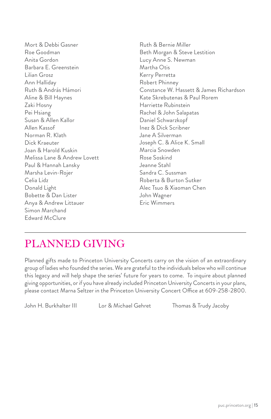Mort & Debbi Gasner Roe Goodman Anita Gordon Barbara E. Greenstein Lilian Grosz Ann Halliday Ruth & András Hámori Aline & Bill Haynes Zaki Hosny Pei Hsiang Susan & Allen Kallor Allen Kassof Norman R. Klath Dick Kraeuter Joan & Harold Kuskin Melissa Lane & Andrew Lovett Paul & Hannah Lansky Marsha Levin-Rojer Celia Lidz Donald Light Bobette & Dan Lister Anya & Andrew Littauer Simon Marchand Edward McClure

Ruth & Bernie Miller Beth Morgan & Steve Lestition Lucy Anne S. Newman Martha Otis Kerry Perretta Robert Phinney Constance W. Hassett & James Richardson Kate Skrebutenas & Paul Rorem Harriette Rubinstein Rachel & John Salapatas Daniel Schwarzkopf Inez & Dick Scribner Jane A Silverman Joseph C. & Alice K. Small Marcia Snowden Rose Soskind Jeanne Stahl Sandra C. Sussman Roberta & Burton Sutker Alec Tsuo & Xiaoman Chen John Wagner Eric Wimmers

# PLANNED GIVING

Planned gifts made to Princeton University Concerts carry on the vision of an extraordinary group of ladies who founded the series. We are grateful to the individuals below who will continue this legacy and will help shape the series' future for years to come. To inquire about planned giving opportunities, or if you have already included Princeton University Concerts in your plans, please contact Marna Seltzer in the Princeton University Concert Office at 609-258-2800.

John H. Burkhalter III Lor & Michael Gehret Thomas & Trudy Jacoby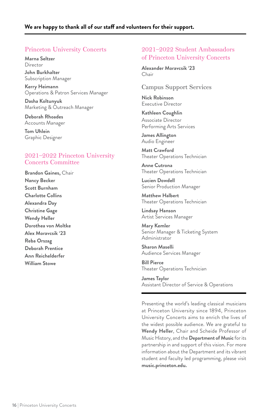### Princeton University Concerts

**Marna Seltzer Director John Burkhalter** Subscription Manager

**Kerry Heimann** Operations & Patron Services Manager

**Dasha Koltunyuk** Marketing & Outreach Manager

**Deborah Rhoades** Accounts Manager

**Tom Uhlein** Graphic Designer

#### 2021–2022 Princeton University Concerts Committee

**Brandon Gaines,** Chair **Nancy Becker Scott Burnham Charlotte Collins Alexandra Day Christine Gage Wendy Heller Dorothea von Moltke Alex Moravcsik '23 Reba Orszag Deborah Prentice Ann Reichelderfer William Stowe**

#### 2021–2022 Student Ambassadors of Princeton University Concerts

**Alexander Moravcsik '23** Chair

#### Campus Support Services

**Nick Robinson** Executive Director

**Kathleen Coughlin** Associate Director Performing Arts Services

**James Allington** Audio Engineer

**Matt Crawford** Theater Operations Technician

**Anne Cutrona** Theater Operations Technician

**Lucien Dowdell** Senior Production Manager

**Matthew Halbert** Theater Operations Technician

**Lindsay Hanson** Artist Services Manager

**Mary Kemler** Senior Manager & Ticketing System **Administrator** 

**Sharon Maselli** Audience Services Manager

**Bill Pierce** Theater Operations Technician

**James Taylor** Assistant Director of Service & Operations

Presenting the world's leading classical musicians at Princeton University since 1894, Princeton University Concerts aims to enrich the lives of the widest possible audience. We are grateful to **Wendy Heller**, Chair and Scheide Professor of Music History, and the **Department of Music** for its partnership in and support of this vision. For more information about the Department and its vibrant student and faculty led programming, please visit **music.princeton.edu.**